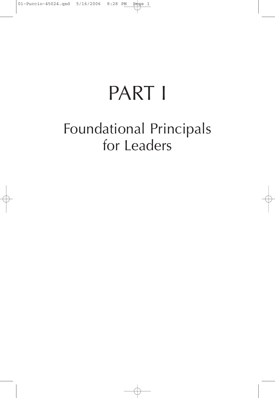# PART I

## Foundational Principals for Leaders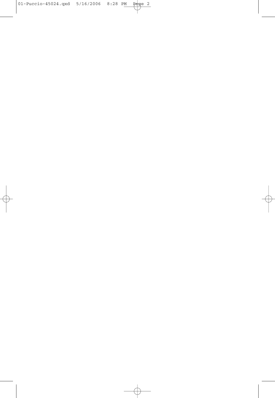$\Rightarrow$ 

 $\overline{\mathcal{A}}$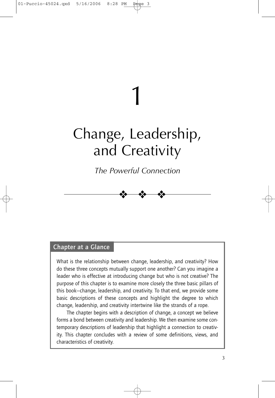1

*The Powerful Connection*

❖ ❖ ❖

## Chapter at a Glance

What is the relationship between change, leadership, and creativity? How do these three concepts mutually support one another? Can you imagine a leader who is effective at introducing change but who is not creative? The purpose of this chapter is to examine more closely the three basic pillars of this book—change, leadership, and creativity. To that end, we provide some basic descriptions of these concepts and highlight the degree to which change, leadership, and creativity intertwine like the strands of a rope.

The chapter begins with a description of change, a concept we believe forms a bond between creativity and leadership. We then examine some contemporary descriptions of leadership that highlight a connection to creativity. This chapter concludes with a review of some definitions, views, and characteristics of creativity.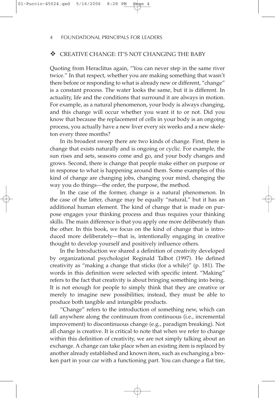## ❖ CREATIVE CHANGE: IT'S NOT CHANGING THE BABY

Quoting from Heraclitus again, "You can never step in the same river twice." In that respect, whether you are making something that wasn't there before or responding to what is already new or different, "change" is a constant process. The water looks the same, but it is different. In actuality, life and the conditions that surround it are always in motion. For example, as a natural phenomenon, your body is always changing, and this change will occur whether you want it to or not. Did you know that because the replacement of cells in your body is an ongoing process, you actually have a new liver every six weeks and a new skeleton every three months?

In its broadest sweep there are two kinds of change. First, there is change that exists naturally and is ongoing or cyclic. For example, the sun rises and sets, seasons come and go, and your body changes and grows. Second, there is change that people make either on purpose or in response to what is happening around them. Some examples of this kind of change are changing jobs, changing your mind, changing the way you do things—the order, the purpose, the method.

In the case of the former, change is a natural phenomenon. In the case of the latter, change may be equally "natural," but it has an additional human element. The kind of change that is made on purpose engages your thinking process and thus requires your thinking skills. The main difference is that you apply one more deliberately than the other. In this book, we focus on the kind of change that is introduced more deliberately—that is, intentionally engaging in creative thought to develop yourself and positively influence others.

In the Introduction we shared a definition of creativity developed by organizational psychologist Reginald Talbot (1997). He defined creativity as "making a change that sticks (for a while)" (p. 181). The words in this definition were selected with specific intent. "Making" refers to the fact that creativity is about bringing something into being. It is not enough for people to simply think that they are creative or merely to imagine new possibilities; instead, they must be able to produce both tangible and intangible products.

"Change" refers to the introduction of something new, which can fall anywhere along the continuum from continuous (i.e., incremental improvement) to discontinuous change (e.g., paradigm breaking). Not all change is creative. It is critical to note that when we refer to change within this definition of creativity, we are not simply talking about an exchange. A change can take place when an existing item is replaced by another already established and known item, such as exchanging a broken part in your car with a functioning part. You can change a flat tire,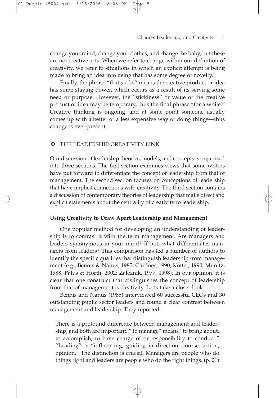change your mind, change your clothes, and change the baby, but these are not creative acts. When we refer to change within our definition of creativity, we refer to situations in which an explicit attempt is being made to bring an idea into being that has some degree of novelty.

Finally, the phrase "that sticks" means the creative product or idea has some staying power, which occurs as a result of its serving some need or purpose. However, the "stickiness" or value of the creative product or idea may be temporary, thus the final phrase "for a while." Creative thinking is ongoing, and at some point someone usually comes up with a better or a less expensive way of doing things—thus change is ever-present.

## **❖** THE LEADERSHIP-CREATIVITY LINK

Our discussion of leadership theories, models, and concepts is organized into three sections. The first section examines views that some writers have put forward to differentiate the concept of leadership from that of management. The second section focuses on conceptions of leadership that have implicit connections with creativity. The third section contains a discussion of contemporary theories of leadership that make direct and explicit statements about the centrality of creativity to leadership.

## **Using Creativity to Draw Apart Leadership and Management**

One popular method for developing an understanding of leadership is to contrast it with the term management. Are managers and leaders synonymous in your mind? If not, what differentiates managers from leaders? This comparison has led a number of authors to identify the specific qualities that distinguish leadership from management (e.g., Bennis & Nanus, 1985; Gardner, 1990; Kotter, 1990; Munitz, 1988; Palus & Horth, 2002; Zaleznik, 1977, 1998). In our opinion, it is clear that one construct that distinguishes the concept of leadership from that of management is creativity. Let's take a closer look.

Bennis and Nanus (1985) interviewed 60 successful CEOs and 30 outstanding public sector leaders and found a clear contrast between management and leadership. They reported:

There is a profound difference between management and leadership, and both are important. "To manage" means "to bring about, to accomplish, to have charge of or responsibility to conduct." "Leading" is "influencing, guiding in direction, course, action, opinion." The distinction is crucial. Managers are people who do things right and leaders are people who do the right things. (p. 21)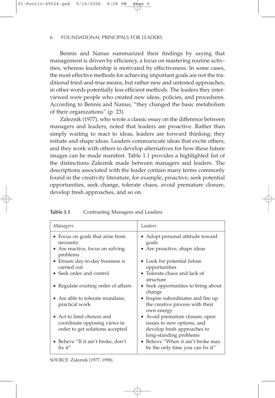Bennis and Nanus summarized their findings by saying that management is driven by efficiency, a focus on mastering routine activities, whereas leadership is motivated by effectiveness. In some cases, the most effective methods for achieving important goals are not the traditional tried-and-true means, but rather new and untested approaches, in other words potentially less efficient methods. The leaders they interviewed were people who created new ideas, policies, and procedures. According to Bennis and Nanus, "they changed the basic metabolism of their organizations" (p. 23).

Zaleznik (1977), who wrote a classic essay on the difference between managers and leaders, noted that leaders are proactive. Rather than simply waiting to react to ideas, leaders are forward thinking; they initiate and shape ideas. Leaders communicate ideas that excite others, and they work with others to develop alternatives for how these future images can be made manifest. Table 1.1 provides a highlighted list of the distinctions Zaleznik made between managers and leaders. The descriptions associated with the leader contain many terms commonly found in the creativity literature, for example, proactive, seek potential opportunities, seek change, tolerate chaos, avoid premature closure, develop fresh approaches, and so on.

| Table 1.1 | Contrasting Managers and Leaders |  |  |  |
|-----------|----------------------------------|--|--|--|
|-----------|----------------------------------|--|--|--|

| Managers                                     | Leaders                                       |
|----------------------------------------------|-----------------------------------------------|
| • Focus on goals that arise from             | • Adopt personal attitude toward              |
| necessity                                    | goals                                         |
| • Are reactive, focus on solving<br>problems | • Are proactive, shape ideas                  |
| • Ensure day-to-day business is              | • Look for potential future                   |
| carried out                                  | opportunities                                 |
| • Seek order and control                     | • Tolerate chaos and lack of<br>structure     |
| • Regulate existing order of affairs         | • Seek opportunities to bring about<br>change |
| • Are able to tolerate mundane,              | • Inspire subordinates and fire up            |
| practical work                               | the creative process with their               |
|                                              | own energy                                    |
| • Act to limit choices and                   | • Avoid premature closure, open               |
| coordinate opposing views in                 | issues to new options, and                    |
| order to get solutions accepted              | develop fresh approaches to                   |
|                                              | long-standing problems                        |
| Believe "If it ain't broke, don't            | • Believe "When it ain't broke may            |
| fix it''                                     | be the only time you can fix it"              |

SOURCE: Zaleznik (1977, 1998).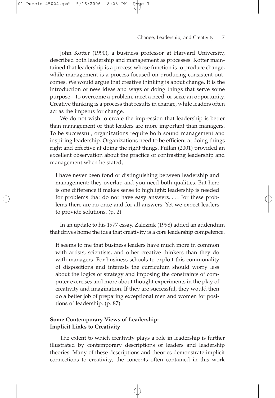John Kotter (1990), a business professor at Harvard University, described both leadership and management as processes. Kotter maintained that leadership is a process whose function is to produce change, while management is a process focused on producing consistent outcomes. We would argue that creative thinking is about change. It is the introduction of new ideas and ways of doing things that serve some purpose—to overcome a problem, meet a need, or seize an opportunity. Creative thinking is a process that results in change, while leaders often act as the impetus for change.

01-Puccio-45024.qxd 5/16/2006

We do not wish to create the impression that leadership is better than management or that leaders are more important than managers. To be successful, organizations require both sound management and inspiring leadership. Organizations need to be efficient at doing things right and effective at doing the right things. Fullan (2001) provided an excellent observation about the practice of contrasting leadership and management when he stated,

I have never been fond of distinguishing between leadership and management: they overlap and you need both qualities. But here is one difference it makes sense to highlight: leadership is needed for problems that do not have easy answers.... For these problems there are no once-and-for-all answers. Yet we expect leaders to provide solutions. (p. 2)

In an update to his 1977 essay, Zaleznik (1998) added an addendum that drives home the idea that creativity is a core leadership competence.

It seems to me that business leaders have much more in common with artists, scientists, and other creative thinkers than they do with managers. For business schools to exploit this commonality of dispositions and interests the curriculum should worry less about the logics of strategy and imposing the constraints of computer exercises and more about thought experiments in the play of creativity and imagination. If they are successful, they would then do a better job of preparing exceptional men and women for positions of leadership. (p. 87)

## **Some Contemporary Views of Leadership: Implicit Links to Creativity**

The extent to which creativity plays a role in leadership is further illustrated by contemporary descriptions of leaders and leadership theories. Many of these descriptions and theories demonstrate implicit connections to creativity; the concepts often contained in this work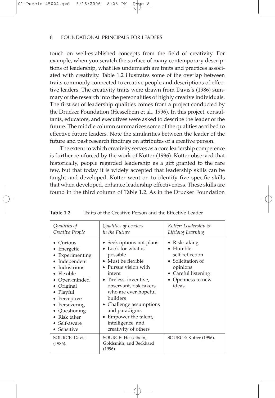touch on well-established concepts from the field of creativity. For example, when you scratch the surface of many contemporary descriptions of leadership, what lies underneath are traits and practices associated with creativity. Table 1.2 illustrates some of the overlap between traits commonly connected to creative people and descriptions of effective leaders. The creativity traits were drawn from Davis's (1986) summary of the research into the personalities of highly creative individuals. The first set of leadership qualities comes from a project conducted by the Drucker Foundation (Hesselbein et al., 1996). In this project, consultants, educators, and executives were asked to describe the leader of the future. The middle column summarizes some of the qualities ascribed to effective future leaders. Note the similarities between the leader of the future and past research findings on attributes of a creative person.

The extent to which creativity serves as a core leadership competence is further reinforced by the work of Kotter (1996). Kotter observed that historically, people regarded leadership as a gift granted to the rare few, but that today it is widely accepted that leadership skills can be taught and developed. Kotter went on to identify five specific skills that when developed, enhance leadership effectiveness. These skills are found in the third column of Table 1.2. As in the Drucker Foundation

| Qualities of<br>Creative People                                                                                                                                                                                    | Qualities of Leaders<br>in the Future                                                                                                                                                                                                                                                                                    | Kotter: Leadership &<br>Lifelong Learning                                                                                    |
|--------------------------------------------------------------------------------------------------------------------------------------------------------------------------------------------------------------------|--------------------------------------------------------------------------------------------------------------------------------------------------------------------------------------------------------------------------------------------------------------------------------------------------------------------------|------------------------------------------------------------------------------------------------------------------------------|
| Curious<br>Energetic<br>Experimenting<br>• Independent<br>Industrious<br>Flexible<br>Open-minded<br>Original<br>Playful<br>Perceptive<br>• Persevering<br>Questioning<br>Risk taker<br>• Self-aware<br>• Sensitive | • Seek options not plans<br>Look for what is<br>possible<br>• Must be flexible<br>• Pursue vision with<br>intent<br>• Tireless, inventive,<br>observant, risk takers<br>who are ever-hopeful<br>builders<br>Challenge assumptions<br>and paradigms<br>• Empower the talent,<br>intelligence, and<br>creativity of others | Risk-taking<br>• Humble<br>self-reflection<br>• Solicitation of<br>opinions<br>Careful listening<br>Openness to new<br>ideas |
| <b>SOURCE: Davis</b><br>(1986).                                                                                                                                                                                    | SOURCE: Hesselbein,<br>Goldsmith, and Beckhard<br>(1996).                                                                                                                                                                                                                                                                | SOURCE: Kotter (1996).                                                                                                       |

Table 1.2 Traits of the Creative Person and the Effective Leader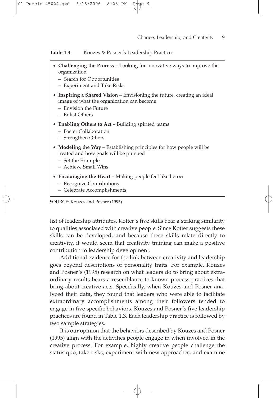**Table 1.3** Kouzes & Posner's Leadership Practices

- **Challenging the Process** Looking for innovative ways to improve the organization
	- Search for Opportunities
	- Experiment and Take Risks
- **Inspiring a Shared Vision** Envisioning the future, creating an ideal image of what the organization can become
	- Envision the Future
	- Enlist Others

01-Puccio-45024.qxd 5/16/2006 8:28 PM

- **Enabling Others to Act** Building spirited teams
	- Foster Collaboration
	- Strengthen Others
- **Modeling the Way** Establishing principles for how people will be treated and how goals will be pursued
	- Set the Example
	- Achieve Small Wins
- **Encouraging the Heart** Making people feel like heroes
	- Recognize Contributions
	- Celebrate Accomplishments

SOURCE: Kouzes and Posner (1995).

list of leadership attributes, Kotter's five skills bear a striking similarity to qualities associated with creative people. Since Kotter suggests these skills can be developed, and because these skills relate directly to creativity, it would seem that creativity training can make a positive contribution to leadership development.

Additional evidence for the link between creativity and leadership goes beyond descriptions of personality traits. For example, Kouzes and Posner's (1995) research on what leaders do to bring about extraordinary results bears a resemblance to known process practices that bring about creative acts. Specifically, when Kouzes and Posner analyzed their data, they found that leaders who were able to facilitate extraordinary accomplishments among their followers tended to engage in five specific behaviors. Kouzes and Posner's five leadership practices are found in Table 1.3. Each leadership practice is followed by two sample strategies.

It is our opinion that the behaviors described by Kouzes and Posner (1995) align with the activities people engage in when involved in the creative process. For example, highly creative people challenge the status quo, take risks, experiment with new approaches, and examine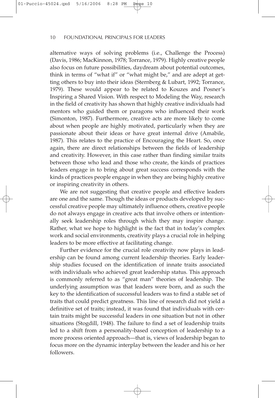alternative ways of solving problems (i.e., Challenge the Process) (Davis, 1986; MacKinnon, 1978; Torrance, 1979). Highly creative people also focus on future possibilities, daydream about potential outcomes, think in terms of "what if" or "what might be," and are adept at getting others to buy into their ideas (Sternberg & Lubart, 1992; Torrance, 1979). These would appear to be related to Kouzes and Posner's Inspiring a Shared Vision. With respect to Modeling the Way, research in the field of creativity has shown that highly creative individuals had mentors who guided them or paragons who influenced their work (Simonton, 1987). Furthermore, creative acts are more likely to come about when people are highly motivated, particularly when they are passionate about their ideas or have great internal drive (Amabile, 1987). This relates to the practice of Encouraging the Heart. So, once again, there are direct relationships between the fields of leadership and creativity. However, in this case rather than finding similar traits between those who lead and those who create, the kinds of practices leaders engage in to bring about great success corresponds with the kinds of practices people engage in when they are being highly creative or inspiring creativity in others.

We are not suggesting that creative people and effective leaders are one and the same. Though the ideas or products developed by successful creative people may ultimately influence others, creative people do not always engage in creative acts that involve others or intentionally seek leadership roles through which they may inspire change. Rather, what we hope to highlight is the fact that in today's complex work and social environments, creativity plays a crucial role in helping leaders to be more effective at facilitating change.

Further evidence for the crucial role creativity now plays in leadership can be found among current leadership theories. Early leadership studies focused on the identification of innate traits associated with individuals who achieved great leadership status. This approach is commonly referred to as "great man" theories of leadership. The underlying assumption was that leaders were born, and as such the key to the identification of successful leaders was to find a stable set of traits that could predict greatness. This line of research did not yield a definitive set of traits; instead, it was found that individuals with certain traits might be successful leaders in one situation but not in other situations (Stogdill, 1948). The failure to find a set of leadership traits led to a shift from a personality-based conception of leadership to a more process oriented approach—that is, views of leadership began to focus more on the dynamic interplay between the leader and his or her followers.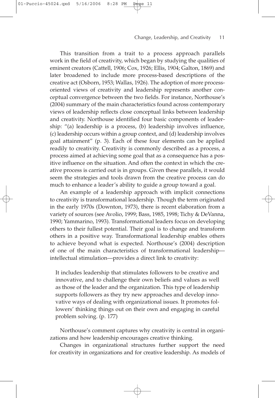This transition from a trait to a process approach parallels work in the field of creativity, which began by studying the qualities of eminent creators (Cattell, 1906; Cox, 1926; Ellis, 1904; Galton, 1869) and later broadened to include more process-based descriptions of the creative act (Osborn, 1953; Wallas, 1926). The adoption of more processoriented views of creativity and leadership represents another conceptual convergence between the two fields. For instance, Northouse's (2004) summary of the main characteristics found across contemporary views of leadership reflects close conceptual links between leadership and creativity. Northouse identified four basic components of leadership: "(a) leadership is a process, (b) leadership involves influence, (c) leadership occurs within a group context, and (d) leadership involves goal attainment" (p. 3). Each of these four elements can be applied readily to creativity. Creativity is commonly described as a process, a process aimed at achieving some goal that as a consequence has a positive influence on the situation. And often the context in which the creative process is carried out is in groups. Given these parallels, it would seem the strategies and tools drawn from the creative process can do much to enhance a leader's ability to guide a group toward a goal.

01-Puccio-45024.qxd 5/16/2006

An example of a leadership approach with implicit connections to creativity is transformational leadership. Though the term originated in the early 1970s (Downton, 1973), there is recent elaboration from a variety of sources (see Avolio, 1999; Bass, 1985, 1998; Tichy & DeVanna, 1990; Yammarino, 1993). Transformational leaders focus on developing others to their fullest potential. Their goal is to change and transform others in a positive way. Transformational leadership enables others to achieve beyond what is expected. Northouse's (2004) description of one of the main characteristics of transformational leadership intellectual stimulation—provides a direct link to creativity:

It includes leadership that stimulates followers to be creative and innovative, and to challenge their own beliefs and values as well as those of the leader and the organization. This type of leadership supports followers as they try new approaches and develop innovative ways of dealing with organizational issues. It promotes followers' thinking things out on their own and engaging in careful problem solving. (p. 177)

Northouse's comment captures why creativity is central in organizations and how leadership encourages creative thinking.

Changes in organizational structures further support the need for creativity in organizations and for creative leadership. As models of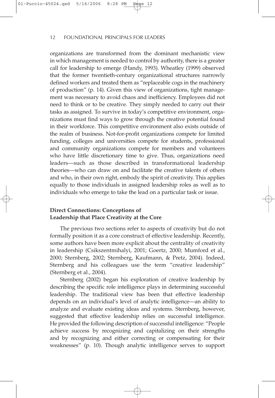organizations are transformed from the dominant mechanistic view in which management is needed to control by authority, there is a greater call for leadership to emerge (Handy, 1993). Wheatley (1999) observed that the former twentieth-century organizational structures narrowly defined workers and treated them as "replaceable cogs in the machinery of production" (p. 14). Given this view of organizations, tight management was necessary to avoid chaos and inefficiency. Employees did not need to think or to be creative. They simply needed to carry out their tasks as assigned. To survive in today's competitive environment, organizations must find ways to grow through the creative potential found in their workforce. This competitive environment also exists outside of the realm of business. Not-for-profit organizations compete for limited funding, colleges and universities compete for students, professional and community organizations compete for members and volunteers who have little discretionary time to give. Thus, organizations need leaders—such as those described in transformational leadership theories—who can draw on and facilitate the creative talents of others and who, in their own right, embody the spirit of creativity. This applies equally to those individuals in assigned leadership roles as well as to individuals who emerge to take the lead on a particular task or issue.

## **Direct Connections: Conceptions of Leadership that Place Creativity at the Core**

The previous two sections refer to aspects of creativity but do not formally position it as a core construct of effective leadership. Recently, some authors have been more explicit about the centrality of creativity in leadership (Csikszentmihalyi, 2001; Goertz, 2000; Mumford et al., 2000; Sternberg, 2002; Sternberg, Kaufmann, & Pretz, 2004). Indeed, Sternberg and his colleagues use the term "creative leadership" (Sternberg et al., 2004).

Sternberg (2002) began his exploration of creative leadership by describing the specific role intelligence plays in determining successful leadership. The traditional view has been that effective leadership depends on an individual's level of analytic intelligence—an ability to analyze and evaluate existing ideas and systems. Sternberg, however, suggested that effective leadership relies on successful intelligence. He provided the following description of successful intelligence: "People achieve success by recognizing and capitalizing on their strengths and by recognizing and either correcting or compensating for their weaknesses" (p. 10). Though analytic intelligence serves to support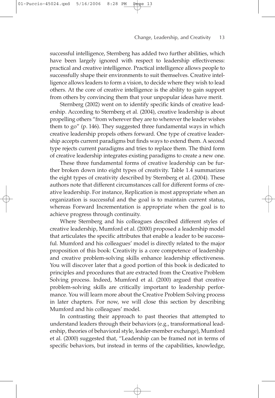successful intelligence, Sternberg has added two further abilities, which have been largely ignored with respect to leadership effectiveness: practical and creative intelligence. Practical intelligence allows people to successfully shape their environments to suit themselves. Creative intelligence allows leaders to form a vision, to decide where they wish to lead others. At the core of creative intelligence is the ability to gain support from others by convincing them that your unpopular ideas have merit.

Sternberg (2002) went on to identify specific kinds of creative leadership. According to Sternberg et al. (2004), creative leadership is about propelling others "from wherever they are to wherever the leader wishes them to go" (p. 146). They suggested three fundamental ways in which creative leadership propels others forward. One type of creative leadership accepts current paradigms but finds ways to extend them. A second type rejects current paradigms and tries to replace them. The third form of creative leadership integrates existing paradigms to create a new one.

These three fundamental forms of creative leadership can be further broken down into eight types of creativity. Table 1.4 summarizes the eight types of creativity described by Sternberg et al. (2004). These authors note that different circumstances call for different forms of creative leadership. For instance, Replication is most appropriate when an organization is successful and the goal is to maintain current status, whereas Forward Incrementation is appropriate when the goal is to achieve progress through continuity.

Where Sternberg and his colleagues described different styles of creative leadership, Mumford et al. (2000) proposed a leadership model that articulates the specific attributes that enable a leader to be successful. Mumford and his colleagues' model is directly related to the major proposition of this book: Creativity is a core competence of leadership and creative problem-solving skills enhance leadership effectiveness. You will discover later that a good portion of this book is dedicated to principles and procedures that are extracted from the Creative Problem Solving process. Indeed, Mumford et al. (2000) argued that creative problem-solving skills are critically important to leadership performance. You will learn more about the Creative Problem Solving process in later chapters. For now, we will close this section by describing Mumford and his colleagues' model.

In contrasting their approach to past theories that attempted to understand leaders through their behaviors (e.g., transformational leadership, theories of behavioral style, leader-member exchange), Mumford et al. (2000) suggested that, "Leadership can be framed not in terms of specific behaviors, but instead in terms of the capabilities, knowledge,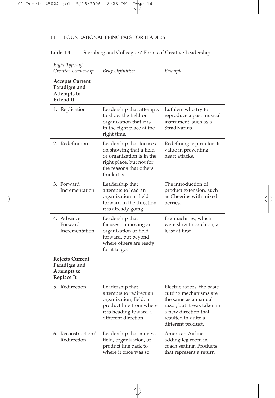## **Table 1.4** Sternberg and Colleagues' Forms of Creative Leadership

| Eight Types of<br>Creative Leadership                                     | <b>Brief Definition</b>                                                                                                                                | Example                                                                                                                                                                         |
|---------------------------------------------------------------------------|--------------------------------------------------------------------------------------------------------------------------------------------------------|---------------------------------------------------------------------------------------------------------------------------------------------------------------------------------|
| <b>Accepts Current</b><br>Paradigm and<br>Attempts to<br><b>Extend It</b> |                                                                                                                                                        |                                                                                                                                                                                 |
| 1. Replication                                                            | Leadership that attempts<br>to show the field or<br>organization that it is<br>in the right place at the<br>right time.                                | Luthiers who try to<br>reproduce a past musical<br>instrument, such as a<br>Stradivarius.                                                                                       |
| 2. Redefinition                                                           | Leadership that focuses<br>on showing that a field<br>or organization is in the<br>right place, but not for<br>the reasons that others<br>think it is. | Redefining aspirin for its<br>value in preventing<br>heart attacks.                                                                                                             |
| 3. Forward<br>Incrementation                                              | Leadership that<br>attempts to lead an<br>organization or field<br>forward in the direction<br>it is already going.                                    | The introduction of<br>product extension, such<br>as Cheerios with mixed<br>berries.                                                                                            |
| 4. Advance<br>Forward<br>Incrementation                                   | Leadership that<br>focuses on moving an<br>organization or field<br>forward, but beyond<br>where others are ready<br>for it to go.                     | Fax machines, which<br>were slow to catch on, at<br>least at first.                                                                                                             |
| <b>Rejects Current</b><br>Paradigm and<br>Attempts to<br>Replace It       |                                                                                                                                                        |                                                                                                                                                                                 |
| 5. Redirection                                                            | Leadership that<br>attempts to redirect an<br>organization, field, or<br>product line from where<br>it is heading toward a<br>different direction.     | Electric razors, the basic<br>cutting mechanisms are<br>the same as a manual<br>razor, but it was taken in<br>a new direction that<br>resulted in quite a<br>different product. |
| 6. Reconstruction/<br>Redirection                                         | Leadership that moves a<br>field, organization, or<br>product line back to<br>where it once was so                                                     | American Airlines<br>adding leg room in<br>coach seating. Products<br>that represent a return                                                                                   |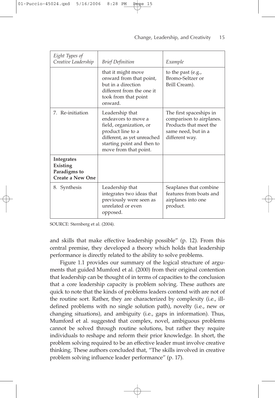|  |  |  | Change, Leadership, and Creativity | 15 |
|--|--|--|------------------------------------|----|
|--|--|--|------------------------------------|----|

| Eight Types of<br>Creative Leadership                      | <b>Brief Definition</b>                                                                                                                                                      | Example                                                                                                                |
|------------------------------------------------------------|------------------------------------------------------------------------------------------------------------------------------------------------------------------------------|------------------------------------------------------------------------------------------------------------------------|
|                                                            | that it might move<br>onward from that point,<br>but in a direction<br>different from the one it<br>took from that point<br>onward.                                          | to the past (e.g.,<br>Bromo-Seltzer or<br>Brill Cream).                                                                |
| 7. Re-initiation                                           | Leadership that<br>endeavors to move a<br>field, organization, or<br>product line to a<br>different, as yet unreached<br>starting point and then to<br>move from that point. | The first spaceships in<br>comparison to airplanes.<br>Products that meet the<br>same need, but in a<br>different way. |
| Integrates<br>Existing<br>Paradigms to<br>Create a New One |                                                                                                                                                                              |                                                                                                                        |
| 8. Synthesis                                               | Leadership that<br>integrates two ideas that<br>previously were seen as<br>unrelated or even<br>opposed.                                                                     | Seaplanes that combine<br>features from boats and<br>airplanes into one<br>product.                                    |

SOURCE: Sternberg et al. (2004).

and skills that make effective leadership possible" (p. 12). From this central premise, they developed a theory which holds that leadership performance is directly related to the ability to solve problems.

Figure 1.1 provides our summary of the logical structure of arguments that guided Mumford et al. (2000) from their original contention that leadership can be thought of in terms of capacities to the conclusion that a core leadership capacity is problem solving. These authors are quick to note that the kinds of problems leaders contend with are not of the routine sort. Rather, they are characterized by complexity (i.e., illdefined problems with no single solution path), novelty (i.e., new or changing situations), and ambiguity (i.e., gaps in information). Thus, Mumford et al. suggested that complex, novel, ambiguous problems cannot be solved through routine solutions, but rather they require individuals to reshape and reform their prior knowledge. In short, the problem solving required to be an effective leader must involve creative thinking. These authors concluded that, "The skills involved in creative problem solving influence leader performance" (p. 17).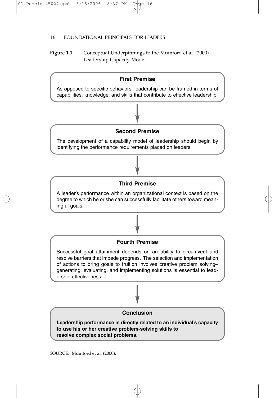## **Figure 1.1** Conceptual Underpinnings to the Mumford et al. (2000) Leadership Capacity Model



SOURCE: Mumford et al. (2000).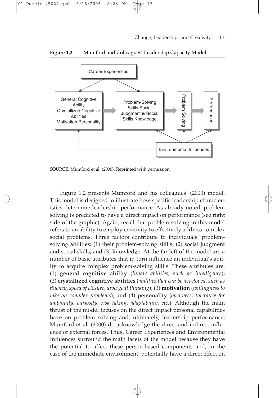

**Figure 1.2** Mumford and Colleagues' Leadership Capacity Model

Figure 1.2 presents Mumford and his colleagues' (2000) model. This model is designed to illustrate how specific leadership characteristics determine leadership performance. As already noted, problem solving is predicted to have a direct impact on performance (see right side of the graphic). Again, recall that problem solving in this model refers to an ability to employ creativity to effectively address complex social problems. Three factors contribute to individuals' problemsolving abilities: (1) their problem-solving skills; (2) social judgment and social skills; and (3) knowledge. At the far left of the model are a number of basic attributes that in turn influence an individual's ability to acquire complex problem-solving skills. These attributes are: (1) **general cognitive ability** (*innate abilities, such as intelligence*); (2) **crystallized cognitive abilities** (*abilities that can be developed, such as fluency, speed of closure, divergent thinking*); (3) **motivation** (*willingness to take on complex problems*); and (4) **personality** (*openness, tolerance for ambiguity, curiosity, risk taking, adaptability, etc.*). Although the main thrust of the model focuses on the direct impact personal capabilities have on problem solving and, ultimately, leadership performance, Mumford et al. (2000) do acknowledge the direct and indirect influence of external forces. Thus, Career Experiences and Environmental Influences surround the main facets of the model because they have the potential to affect these person-based components and, in the case of the immediate environment, potentially have a direct effect on

SOURCE: Mumford et al. (2000). Reprinted with permission.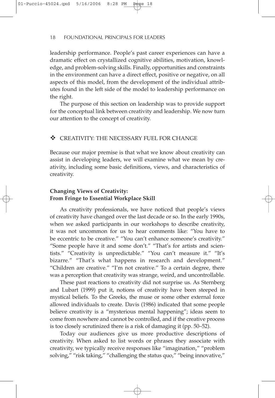leadership performance. People's past career experiences can have a dramatic effect on crystallized cognitive abilities, motivation, knowledge, and problem-solving skills. Finally, opportunities and constraints in the environment can have a direct effect, positive or negative, on all aspects of this model, from the development of the individual attributes found in the left side of the model to leadership performance on the right.

The purpose of this section on leadership was to provide support for the conceptual link between creativity and leadership. We now turn our attention to the concept of creativity.

## CREATIVITY: THE NECESSARY FUEL FOR CHANGE

Because our major premise is that what we know about creativity can assist in developing leaders, we will examine what we mean by creativity, including some basic definitions, views, and characteristics of creativity.

## **Changing Views of Creativity: From Fringe to Essential Workplace Skill**

As creativity professionals, we have noticed that people's views of creativity have changed over the last decade or so. In the early 1990s, when we asked participants in our workshops to describe creativity, it was not uncommon for us to hear comments like: "You have to be eccentric to be creative." "You can't enhance someone's creativity." "Some people have it and some don't." "That's for artists and scientists." "Creativity is unpredictable." "You can't measure it." "It's bizarre." "That's what happens in research and development." "Children are creative." "I'm not creative." To a certain degree, there was a perception that creativity was strange, weird, and uncontrollable.

These past reactions to creativity did not surprise us. As Sternberg and Lubart (1999) put it, notions of creativity have been steeped in mystical beliefs. To the Greeks, the muse or some other external force allowed individuals to create. Davis (1986) indicated that some people believe creativity is a "mysterious mental happening"; ideas seem to come from nowhere and cannot be controlled, and if the creative process is too closely scrutinized there is a risk of damaging it (pp. 50–52).

Today our audiences give us more productive descriptions of creativity. When asked to list words or phrases they associate with creativity, we typically receive responses like "imagination," "problem solving," "risk taking," "challenging the status quo," "being innovative,"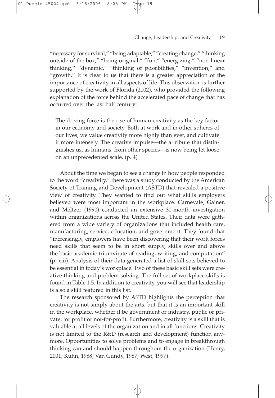"necessary for survival," "being adaptable," "creating change," "thinking outside of the box," "being original," "fun," "energizing," "non-linear thinking," "dynamic," "thinking of possibilities," "invention," and "growth." It is clear to us that there is a greater appreciation of the importance of creativity in all aspects of life. This observation is further supported by the work of Florida (2002), who provided the following explanation of the force behind the accelerated pace of change that has occurred over the last half century:

01-Puccio-45024.qxd 5/16/2006

The driving force is the rise of human creativity as the key factor in our economy and society. Both at work and in other spheres of our lives, we value creativity more highly than ever, and cultivate it more intensely. The creative impulse—the attribute that distinguishes us, as humans, from other species—is now being let loose on an unprecedented scale. (p. 4)

About the time we began to see a change in how people responded to the word "creativity," there was a study conducted by the American Society of Training and Development (ASTD) that revealed a positive view of creativity. They wanted to find out what skills employers believed were most important in the workplace. Carnevale, Gainer, and Meltzer (1990) conducted an extensive 30-month investigation within organizations across the United States. Their data were gathered from a wide variety of organizations that included health care, manufacturing, service, education, and government. They found that "increasingly, employers have been discovering that their work forces need skills that seem to be in short supply, skills over and above the basic academic triumvirate of reading, writing, and computation" (p. xiii). Analysis of their data generated a list of skill sets believed to be essential in today's workplace. Two of these basic skill sets were creative thinking and problem solving. The full set of workplace skills is found in Table 1.5. In addition to creativity, you will see that leadership is also a skill featured in this list.

The research sponsored by ASTD highlights the perception that creativity is not simply about the arts, but that it is an important skill in the workplace, whether it be government or industry, public or private, for profit or not-for-profit. Furthermore, creativity is a skill that is valuable at all levels of the organization and in all functions. Creativity is not limited to the R&D (research and development) function anymore. Opportunities to solve problems and to engage in breakthrough thinking can and should happen throughout the organization (Henry, 2001; Kuhn, 1988; Van Gundy, 1987; West, 1997).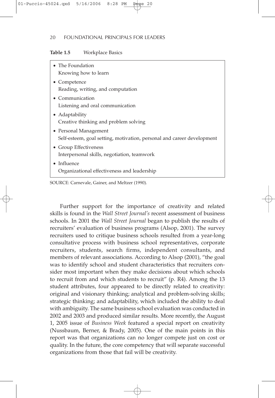## **Table 1.5** Workplace Basics

| • The Foundation                                                       |  |
|------------------------------------------------------------------------|--|
| Knowing how to learn                                                   |  |
| $\bullet$ Competence                                                   |  |
| Reading, writing, and computation                                      |  |
| • Communication                                                        |  |
| Listening and oral communication                                       |  |
| • Adaptability                                                         |  |
| Creative thinking and problem solving                                  |  |
| • Personal Management                                                  |  |
| Self-esteem, goal setting, motivation, personal and career development |  |
| • Group Effectiveness                                                  |  |
| Interpersonal skills, negotiation, teamwork                            |  |
| $\bullet$ Influence                                                    |  |
| Organizational effectiveness and leadership                            |  |
|                                                                        |  |

SOURCE: Carnevale, Gainer, and Meltzer (1990).

Further support for the importance of creativity and related skills is found in the *Wall Street Journal's* recent assessment of business schools. In 2001 the *Wall Street Journal* began to publish the results of recruiters' evaluation of business programs (Alsop, 2001). The survey recruiters used to critique business schools resulted from a year-long consultative process with business school representatives, corporate recruiters, students, search firms, independent consultants, and members of relevant associations. According to Alsop (2001), "the goal was to identify school and student characteristics that recruiters consider most important when they make decisions about which schools to recruit from and which students to recruit" (p. R4). Among the 13 student attributes, four appeared to be directly related to creativity: original and visionary thinking; analytical and problem-solving skills; strategic thinking; and adaptability, which included the ability to deal with ambiguity. The same business school evaluation was conducted in 2002 and 2003 and produced similar results. More recently, the August 1, 2005 issue of *Business Week* featured a special report on creativity (Nussbaum, Berner, & Brady, 2005). One of the main points in this report was that organizations can no longer compete just on cost or quality. In the future, the core competency that will separate successful organizations from those that fail will be creativity.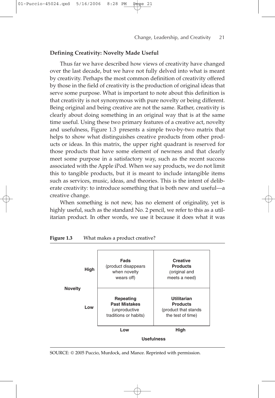## 01-Puccio-45024.qxd 5/16/2006 8:28 PM

## **Defining Creativity: Novelty Made Useful**

Thus far we have described how views of creativity have changed over the last decade, but we have not fully delved into what is meant by creativity. Perhaps the most common definition of creativity offered by those in the field of creativity is the production of original ideas that serve some purpose. What is important to note about this definition is that creativity is not synonymous with pure novelty or being different. Being original and being creative are not the same. Rather, creativity is clearly about doing something in an original way that is at the same time useful. Using these two primary features of a creative act, novelty and usefulness, Figure 1.3 presents a simple two-by-two matrix that helps to show what distinguishes creative products from other products or ideas. In this matrix, the upper right quadrant is reserved for those products that have some element of newness and that clearly meet some purpose in a satisfactory way, such as the recent success associated with the Apple iPod. When we say products, we do not limit this to tangible products, but it is meant to include intangible items such as services, music, ideas, and theories. This is the intent of deliberate creativity: to introduce something that is both new and useful—a creative change.

When something is not new, has no element of originality, yet is highly useful, such as the standard No. 2 pencil, we refer to this as a utilitarian product. In other words, we use it because it does what it was



**Figure 1.3** What makes a product creative?

SOURCE: © 2005 Puccio, Murdock, and Mance. Reprinted with permission.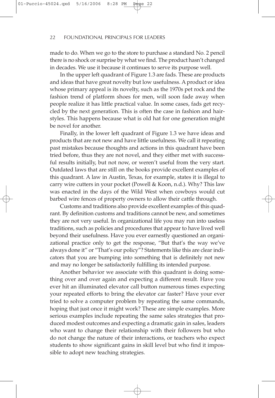made to do. When we go to the store to purchase a standard No. 2 pencil there is no shock or surprise by what we find. The product hasn't changed in decades. We use it because it continues to serve its purpose well.

In the upper left quadrant of Figure 1.3 are fads. These are products and ideas that have great novelty but low usefulness. A product or idea whose primary appeal is its novelty, such as the 1970s pet rock and the fashion trend of platform shoes for men, will soon fade away when people realize it has little practical value. In some cases, fads get recycled by the next generation. This is often the case in fashion and hairstyles. This happens because what is old hat for one generation might be novel for another.

Finally, in the lower left quadrant of Figure 1.3 we have ideas and products that are not new and have little usefulness. We call it repeating past mistakes because thoughts and actions in this quadrant have been tried before, thus they are not novel, and they either met with successful results initially, but not now, or weren't useful from the very start. Outdated laws that are still on the books provide excellent examples of this quadrant. A law in Austin, Texas, for example, states it is illegal to carry wire cutters in your pocket (Powell & Koon, n.d.). Why? This law was enacted in the days of the Wild West when cowboys would cut barbed wire fences of property owners to allow their cattle through.

Customs and traditions also provide excellent examples of this quadrant. By definition customs and traditions cannot be new, and sometimes they are not very useful. In organizational life you may run into useless traditions, such as policies and procedures that appear to have lived well beyond their usefulness. Have you ever earnestly questioned an organizational practice only to get the response, "But that's the way we've always done it" or "That's our policy"? Statements like this are clear indicators that you are bumping into something that is definitely not new and may no longer be satisfactorily fulfilling its intended purpose.

Another behavior we associate with this quadrant is doing something over and over again and expecting a different result. Have you ever hit an illuminated elevator call button numerous times expecting your repeated efforts to bring the elevator car faster? Have your ever tried to solve a computer problem by repeating the same commands, hoping that just once it might work? These are simple examples. More serious examples include repeating the same sales strategies that produced modest outcomes and expecting a dramatic gain in sales, leaders who want to change their relationship with their followers but who do not change the nature of their interactions, or teachers who expect students to show significant gains in skill level but who find it impossible to adopt new teaching strategies.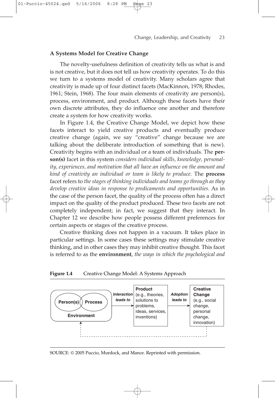## **A Systems Model for Creative Change**

The novelty-usefulness definition of creativity tells us what is and is not creative, but it does not tell us how creativity operates. To do this we turn to a systems model of creativity. Many scholars agree that creativity is made up of four distinct facets (MacKinnon, 1978; Rhodes, 1961; Stein, 1968). The four main elements of creativity are person(s), process, environment, and product. Although these facets have their own discrete attributes, they do influence one another and therefore create a system for how creativity works.

In Figure 1.4, the Creative Change Model, we depict how these facets interact to yield creative products and eventually produce creative change (again, we say "creative" change because we are talking about the deliberate introduction of something that is new). Creativity begins with an individual or a team of individuals. The **person(s)** facet in this system *considers individual skills, knowledge, personality, experiences, and motivation that all have an influence on the amount and kind of creativity an individual or team is likely to produce.* The **process** facet refers to *the stages of thinking individuals and teams go through as they develop creative ideas in response to predicaments and opportunities.* As in the case of the person facet, the quality of the process often has a direct impact on the quality of the product produced. These two facets are not completely independent; in fact, we suggest that they interact. In Chapter 12 we describe how people possess different preferences for certain aspects or stages of the creative process.

Creative thinking does not happen in a vacuum. It takes place in particular settings. In some cases these settings may stimulate creative thinking, and in other cases they may inhibit creative thought. This facet is referred to as the **environment**, *the ways in which the psychological and*

**Figure 1.4** Creative Change Model: A Systems Approach



SOURCE: © 2005 Puccio, Murdock, and Mance. Reprinted with permission.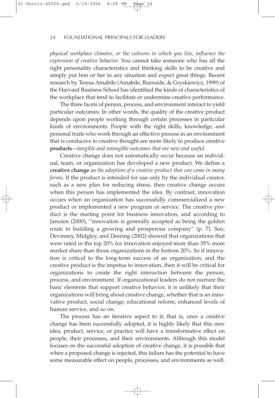*physical workplace climates, or the cultures in which you live, influence the expression of creative behavior.* You cannot take someone who has all the right personality characteristics and thinking skills to be creative and simply put him or her in any situation and expect great things. Recent research by Teresa Amabile (Amabile, Burnside, & Gryskiewicz, 1999) of the Harvard Business School has identified the kinds of characteristics of the workplace that tend to facilitate or undermine creative performance.

The three facets of person, process, and environment interact to yield particular outcomes. In other words, the quality of the creative product depends upon people working through certain processes in particular kinds of environments. People with the right skills, knowledge, and personal traits who work through an effective process in an environment that is conducive to creative thought are more likely to produce creative **products**—*tangible and intangible outcomes that are new and useful.*

Creative change does not automatically occur because an individual, team, or organization has developed a new product. We define a **creative change** as *the adoption of a creative product that can come in many forms.* If the product is intended for use only by the individual creator, such as a new plan for reducing stress, then creative change occurs when this person has implemented the idea. By contrast, innovation occurs when an organization has successfully commercialized a new product or implemented a new program or service. The creative product is the starting point for business innovation, and according to Janszen (2000), "innovation is generally accepted as being the golden route to building a growing and prosperous company" (p. 7). Soo, Devinney, Midgley, and Deering (2002) showed that organizations that were rated in the top 20% for innovation enjoyed more than 35% more market share than those organizations in the bottom 20%. So if innovation is critical to the long-term success of an organization, and the creative product is the impetus to innovation, then it will be critical for organizations to create the right interaction between the person, process, and environment. If organizational leaders do not nurture the basic elements that support creative behavior, it is unlikely that their organizations will bring about creative change, whether that is an innovative product, social change, educational reform, enhanced levels of human service, and so on.

The process has an iterative aspect to it; that is, once a creative change has been successfully adopted, it is highly likely that this new idea, product, service, or practice will have a transformative effect on people, their processes, and their environments. Although this model focuses on the successful adoption of creative change, it is possible that when a proposed change is rejected, this failure has the potential to have some measurable effect on people, processes, and environments as well.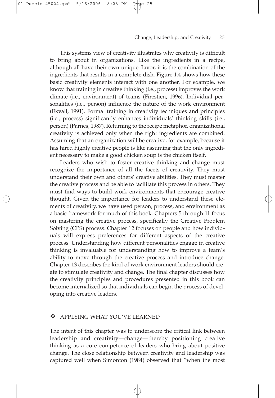This systems view of creativity illustrates why creativity is difficult to bring about in organizations. Like the ingredients in a recipe, although all have their own unique flavor, it is the combination of the ingredients that results in a complete dish. Figure 1.4 shows how these basic creativity elements interact with one another. For example, we know that training in creative thinking (i.e., process) improves the work climate (i.e., environment) of teams (Firestien, 1996). Individual personalities (i.e., person) influence the nature of the work environment (Ekvall, 1991). Formal training in creativity techniques and principles (i.e., process) significantly enhances individuals' thinking skills (i.e., person) (Parnes, 1987). Returning to the recipe metaphor, organizational creativity is achieved only when the right ingredients are combined. Assuming that an organization will be creative, for example, because it has hired highly creative people is like assuming that the only ingredient necessary to make a good chicken soup is the chicken itself.

01-Puccio-45024.qxd 5/16/2006

Leaders who wish to foster creative thinking and change must recognize the importance of all the facets of creativity. They must understand their own and others' creative abilities. They must master the creative process and be able to facilitate this process in others. They must find ways to build work environments that encourage creative thought. Given the importance for leaders to understand these elements of creativity, we have used person, process, and environment as a basic framework for much of this book. Chapters 5 through 11 focus on mastering the creative process, specifically the Creative Problem Solving (CPS) process. Chapter 12 focuses on people and how individuals will express preferences for different aspects of the creative process. Understanding how different personalities engage in creative thinking is invaluable for understanding how to improve a team's ability to move through the creative process and introduce change. Chapter 13 describes the kind of work environment leaders should create to stimulate creativity and change. The final chapter discusses how the creativity principles and procedures presented in this book can become internalized so that individuals can begin the process of developing into creative leaders.

## APPLYING WHAT YOU'VE LEARNED

The intent of this chapter was to underscore the critical link between leadership and creativity—change—thereby positioning creative thinking as a core competence of leaders who bring about positive change. The close relationship between creativity and leadership was captured well when Simonton (1984) observed that "when the most